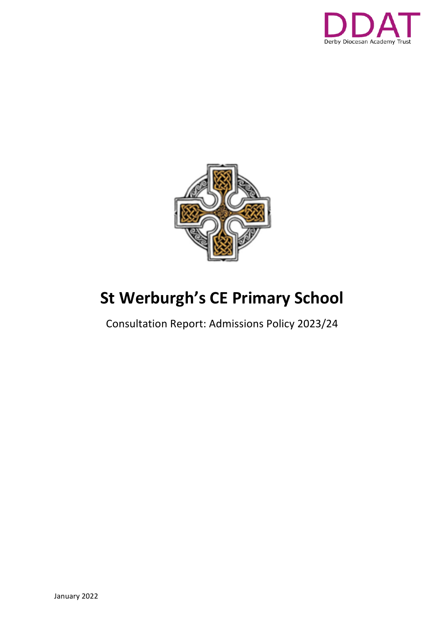



# **St Werburgh's CE Primary School**

Consultation Report: Admissions Policy 2023/24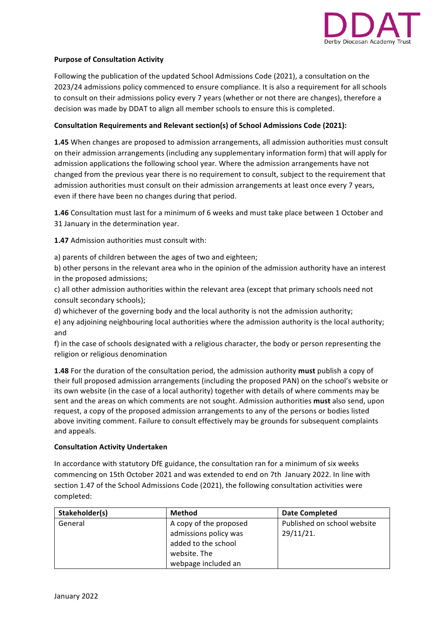

### **Purpose of Consultation Activity**

Following the publication of the updated School Admissions Code (2021), a consultation on the 2023/24 admissions policy commenced to ensure compliance. It is also a requirement for all schools to consult on their admissions policy every 7 years (whether or not there are changes), therefore a decision was made by DDAT to align all member schools to ensure this is completed.

#### Consultation Requirements and Relevant section(s) of School Admissions Code (2021):

1.45 When changes are proposed to admission arrangements, all admission authorities must consult on their admission arrangements (including any supplementary information form) that will apply for admission applications the following school year. Where the admission arrangements have not changed from the previous year there is no requirement to consult, subject to the requirement that admission authorities must consult on their admission arrangements at least once every 7 years, even if there have been no changes during that period.

**1.46** Consultation must last for a minimum of 6 weeks and must take place between 1 October and 31 January in the determination year.

**1.47** Admission authorities must consult with:

a) parents of children between the ages of two and eighteen:

b) other persons in the relevant area who in the opinion of the admission authority have an interest in the proposed admissions;

c) all other admission authorities within the relevant area (except that primary schools need not consult secondary schools);

d) whichever of the governing body and the local authority is not the admission authority; e) any adjoining neighbouring local authorities where the admission authority is the local authority;

f) in the case of schools designated with a religious character, the body or person representing the religion or religious denomination

**1.48** For the duration of the consultation period, the admission authority must publish a copy of their full proposed admission arrangements (including the proposed PAN) on the school's website or its own website (in the case of a local authority) together with details of where comments may be sent and the areas on which comments are not sought. Admission authorities **must** also send, upon request, a copy of the proposed admission arrangements to any of the persons or bodies listed above inviting comment. Failure to consult effectively may be grounds for subsequent complaints and appeals.

#### **Consultation Activity Undertaken**

In accordance with statutory DfE guidance, the consultation ran for a minimum of six weeks commencing on 15th October 2021 and was extended to end on 7th January 2022. In line with section 1.47 of the School Admissions Code (2021), the following consultation activities were completed:

| Stakeholder(s) | Method                 | <b>Date Completed</b>       |  |  |  |
|----------------|------------------------|-----------------------------|--|--|--|
| General        | A copy of the proposed | Published on school website |  |  |  |
|                | admissions policy was  | $29/11/21$ .                |  |  |  |
|                | added to the school    |                             |  |  |  |
|                | website. The           |                             |  |  |  |
|                | webpage included an    |                             |  |  |  |

and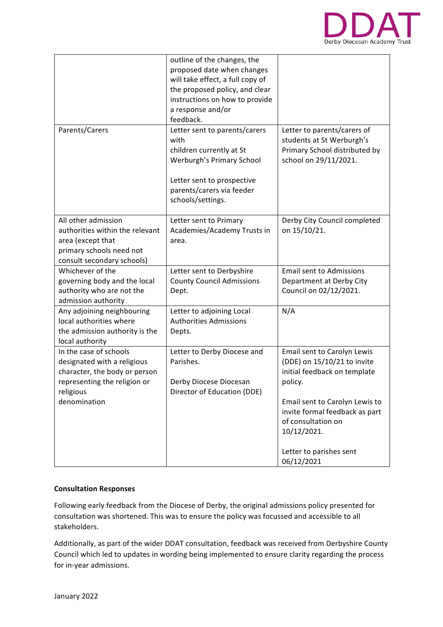

|                                                                                                                                                     | outline of the changes, the<br>proposed date when changes<br>will take effect, a full copy of<br>the proposed policy, and clear<br>instructions on how to provide<br>a response and/or<br>feedback. |                                                                                                                                                                                                                                                         |
|-----------------------------------------------------------------------------------------------------------------------------------------------------|-----------------------------------------------------------------------------------------------------------------------------------------------------------------------------------------------------|---------------------------------------------------------------------------------------------------------------------------------------------------------------------------------------------------------------------------------------------------------|
| Parents/Carers                                                                                                                                      | Letter sent to parents/carers<br>with<br>children currently at St<br>Werburgh's Primary School<br>Letter sent to prospective<br>parents/carers via feeder<br>schools/settings.                      | Letter to parents/carers of<br>students at St Werburgh's<br>Primary School distributed by<br>school on 29/11/2021.                                                                                                                                      |
| All other admission<br>authorities within the relevant<br>area (except that<br>primary schools need not<br>consult secondary schools)               | Letter sent to Primary<br>Academies/Academy Trusts in<br>area.                                                                                                                                      | Derby City Council completed<br>on 15/10/21.                                                                                                                                                                                                            |
| Whichever of the<br>governing body and the local<br>authority who are not the<br>admission authority                                                | Letter sent to Derbyshire<br><b>County Council Admissions</b><br>Dept.                                                                                                                              | <b>Email sent to Admissions</b><br>Department at Derby City<br>Council on 02/12/2021.                                                                                                                                                                   |
| Any adjoining neighbouring<br>local authorities where<br>the admission authority is the<br>local authority                                          | Letter to adjoining Local<br><b>Authorities Admissions</b><br>Depts.                                                                                                                                | N/A                                                                                                                                                                                                                                                     |
| In the case of schools<br>designated with a religious<br>character, the body or person<br>representing the religion or<br>religious<br>denomination | Letter to Derby Diocese and<br>Parishes.<br>Derby Diocese Diocesan<br>Director of Education (DDE)                                                                                                   | Email sent to Carolyn Lewis<br>(DDE) on 15/10/21 to invite<br>initial feedback on template<br>policy.<br>Email sent to Carolyn Lewis to<br>invite formal feedback as part<br>of consultation on<br>10/12/2021.<br>Letter to parishes sent<br>06/12/2021 |

## **Consultation Responses**

Following early feedback from the Diocese of Derby, the original admissions policy presented for consultation was shortened. This was to ensure the policy was focussed and accessible to all stakeholders. 

Additionally, as part of the wider DDAT consultation, feedback was received from Derbyshire County Council which led to updates in wording being implemented to ensure clarity regarding the process for in-year admissions.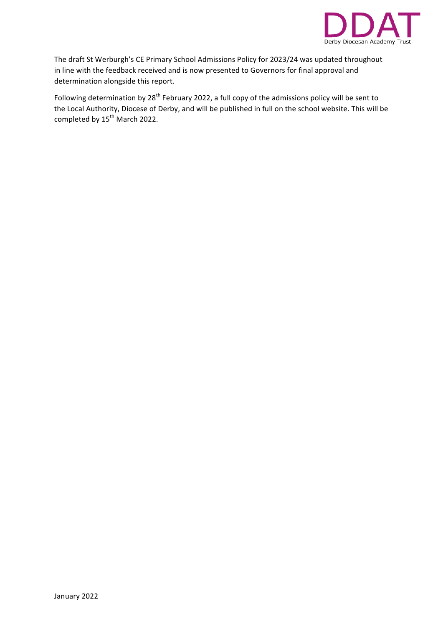

The draft St Werburgh's CE Primary School Admissions Policy for 2023/24 was updated throughout in line with the feedback received and is now presented to Governors for final approval and determination alongside this report.

Following determination by  $28^{th}$  February 2022, a full copy of the admissions policy will be sent to the Local Authority, Diocese of Derby, and will be published in full on the school website. This will be completed by 15<sup>th</sup> March 2022.